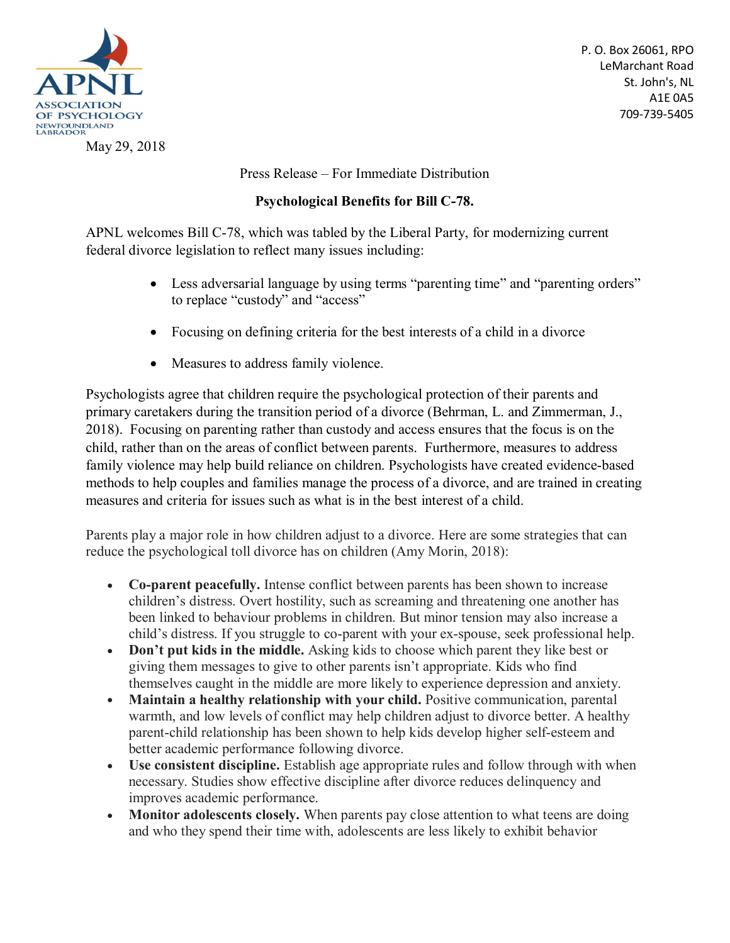

May 29, 2018

P. O. Box 26061, RPO LeMarchant Road St. John's, NL A1E 0A5 709-739-5405

Press Release – For Immediate Distribution

## **Psychological Benefits for Bill C-78.**

APNL welcomes Bill C-78, which was tabled by the Liberal Party, for modernizing current federal divorce legislation to reflect many issues including:

- Less adversarial language by using terms "parenting time" and "parenting orders" to replace "custody" and "access"
- Focusing on defining criteria for the best interests of a child in a divorce
- Measures to address family violence.

Psychologists agree that children require the psychological protection of their parents and primary caretakers during the transition period of a divorce (Behrman, L. and Zimmerman, J., 2018). Focusing on parenting rather than custody and access ensures that the focus is on the child, rather than on the areas of conflict between parents. Furthermore, measures to address family violence may help build reliance on children. Psychologists have created evidence-based methods to help couples and families manage the process of a divorce, and are trained in creating measures and criteria for issues such as what is in the best interest of a child.

Parents play a major role in how children adjust to a divorce. Here are some strategies that can reduce the psychological toll divorce has on children (Amy Morin, 2018):

- **Co-parent peacefully.** Intense conflict between parents has been shown to increase children's distress. Overt hostility, such as screaming and threatening one another has been linked to behaviour problems in children. But minor tension may also increase a child's distress. If you struggle to co-parent with your ex-spouse, seek professional help.
- **Don't put kids in the middle.** Asking kids to choose which parent they like best or giving them messages to give to other parents isn't appropriate. Kids who find themselves caught in the middle are more likely to experience depression and anxiety.
- **Maintain a healthy relationship with your child.** Positive communication, parental warmth, and low levels of conflict may help children adjust to divorce better. A healthy parent-child relationship has been shown to help kids develop higher self-esteem and better academic performance following divorce.
- **Use consistent discipline.** Establish age appropriate rules and follow through with when necessary. Studies show effective discipline after divorce reduces delinquency and improves academic performance.
- **Monitor adolescents closely.** When parents pay close attention to what teens are doing and who they spend their time with, adolescents are less likely to exhibit behavior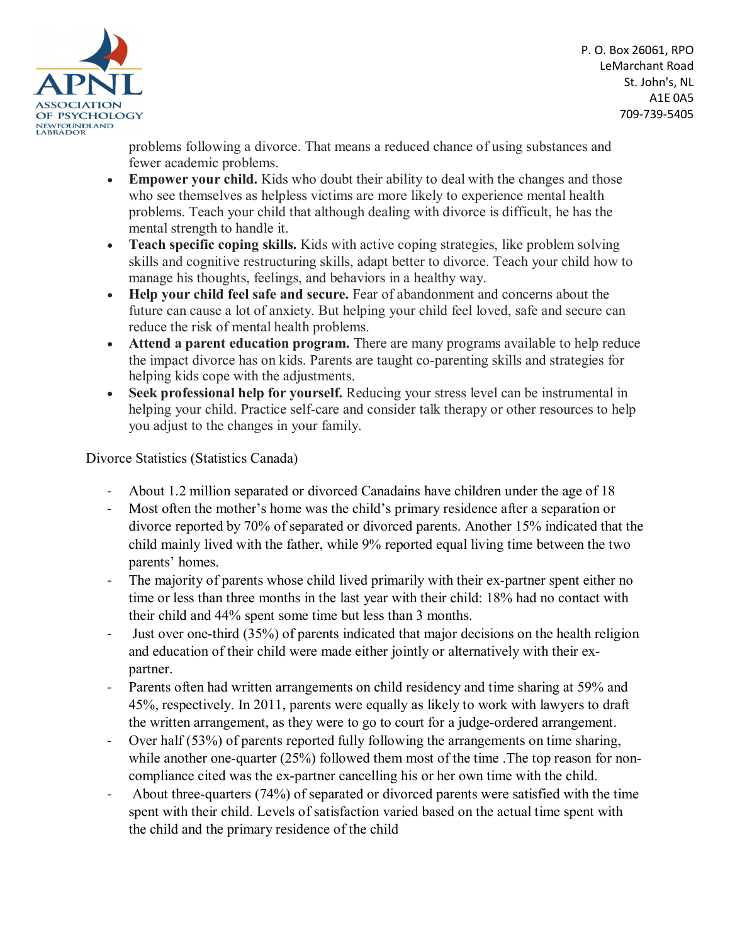

problems following a divorce. That means a reduced chance of using substances and fewer academic problems.

- **Empower your child.** Kids who doubt their ability to deal with the changes and those who see themselves as helpless victims are more likely to experience mental health problems. Teach your child that although dealing with divorce is difficult, he has the mental strength to handle it.
- **Teach specific coping skills.** Kids with active coping strategies, like problem solving skills and cognitive restructuring skills, adapt better to divorce. Teach your child how to manage his thoughts, feelings, and behaviors in a healthy way.
- **Help your child feel safe and secure.** Fear of abandonment and concerns about the future can cause a lot of anxiety. But helping your child feel loved, safe and secure can reduce the risk of mental health problems.
- **Attend a parent education program.** There are many programs available to help reduce the impact divorce has on kids. Parents are taught co-parenting skills and strategies for helping kids cope with the adjustments.
- **Seek professional help for yourself.** Reducing your stress level can be instrumental in helping your child. Practice self-care and consider talk therapy or other resources to help you adjust to the changes in your family.

Divorce Statistics (Statistics Canada)

- About 1.2 million separated or divorced Canadains have children under the age of 18
- Most often the mother's home was the child's primary residence after a separation or divorce reported by 70% of separated or divorced parents. Another 15% indicated that the child mainly lived with the father, while 9% reported equal living time between the two parents' homes.
- The majority of parents whose child lived primarily with their ex-partner spent either no time or less than three months in the last year with their child: 18% had no contact with their child and 44% spent some time but less than 3 months.
- Just over one-third (35%) of parents indicated that major decisions on the health religion and education of their child were made either jointly or alternatively with their expartner.
- Parents often had written arrangements on child residency and time sharing at 59% and 45%, respectively. In 2011, parents were equally as likely to work with lawyers to draft the written arrangement, as they were to go to court for a judge-ordered arrangement.
- Over half (53%) of parents reported fully following the arrangements on time sharing, while another one-quarter (25%) followed them most of the time. The top reason for noncompliance cited was the ex-partner cancelling his or her own time with the child.
- About three-quarters (74%) of separated or divorced parents were satisfied with the time spent with their child. Levels of satisfaction varied based on the actual time spent with the child and the primary residence of the child